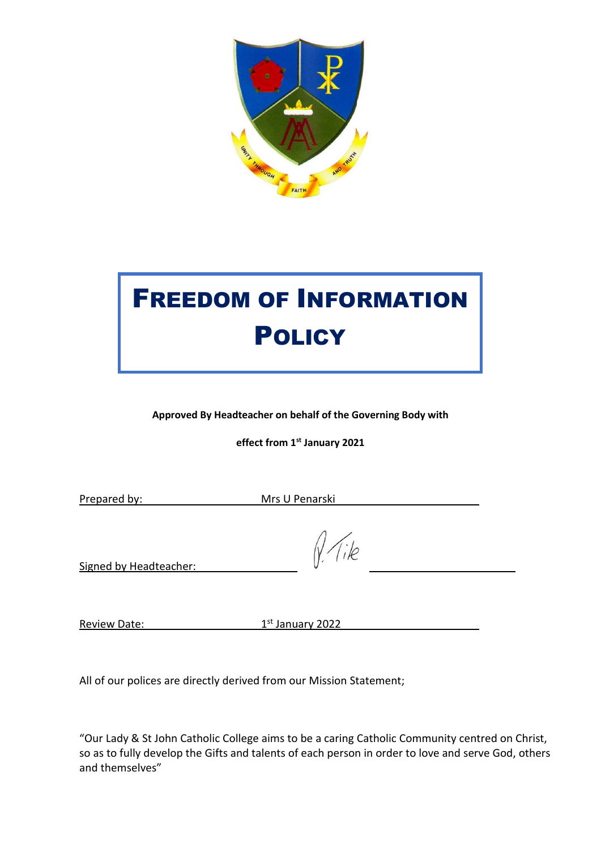

# FREEDOM OF INFORMATION **POLICY**

**Approved By Headteacher on behalf of the Governing Body with** 

**effect from 1st January 2021**

Prepared by: Mrs U Penarski

Tile

Signed by Headteacher:

Review Date: 1

1st January 2022

All of our polices are directly derived from our Mission Statement;

"Our Lady & St John Catholic College aims to be a caring Catholic Community centred on Christ, so as to fully develop the Gifts and talents of each person in order to love and serve God, others and themselves"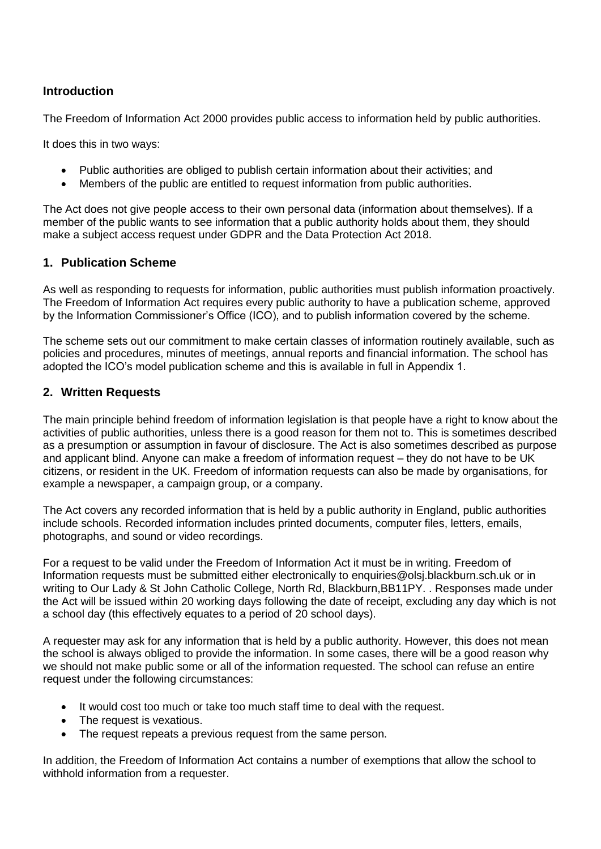## **Introduction**

The Freedom of Information Act 2000 provides public access to information held by public authorities.

It does this in two ways:

- Public authorities are obliged to publish certain information about their activities; and
- Members of the public are entitled to request information from public authorities.

The Act does not give people access to their own personal data (information about themselves). If a member of the public wants to see information that a public authority holds about them, they should make a subject access request under GDPR and the Data Protection Act 2018.

## **1. Publication Scheme**

As well as responding to requests for information, public authorities must publish information proactively. The Freedom of Information Act requires every public authority to have a publication scheme, approved by the Information Commissioner's Office (ICO), and to publish information covered by the scheme.

The scheme sets out our commitment to make certain classes of information routinely available, such as policies and procedures, minutes of meetings, annual reports and financial information. The school has adopted the ICO's model publication scheme and this is available in full in Appendix 1.

## **2. Written Requests**

The main principle behind freedom of information legislation is that people have a right to know about the activities of public authorities, unless there is a good reason for them not to. This is sometimes described as a presumption or assumption in favour of disclosure. The Act is also sometimes described as purpose and applicant blind. Anyone can make a freedom of information request – they do not have to be UK citizens, or resident in the UK. Freedom of information requests can also be made by organisations, for example a newspaper, a campaign group, or a company.

The Act covers any recorded information that is held by a public authority in England, public authorities include schools. Recorded information includes printed documents, computer files, letters, emails, photographs, and sound or video recordings.

For a request to be valid under the Freedom of Information Act it must be in writing. Freedom of Information requests must be submitted either electronically to enquiries@olsj.blackburn.sch.uk or in writing to Our Lady & St John Catholic College, North Rd, Blackburn, BB11PY. . Responses made under the Act will be issued within 20 working days following the date of receipt, excluding any day which is not a school day (this effectively equates to a period of 20 school days).

A requester may ask for any information that is held by a public authority. However, this does not mean the school is always obliged to provide the information. In some cases, there will be a good reason why we should not make public some or all of the information requested. The school can refuse an entire request under the following circumstances:

- It would cost too much or take too much staff time to deal with the request.
- The request is vexatious.
- The request repeats a previous request from the same person.

In addition, the Freedom of Information Act contains a number of exemptions that allow the school to withhold information from a requester.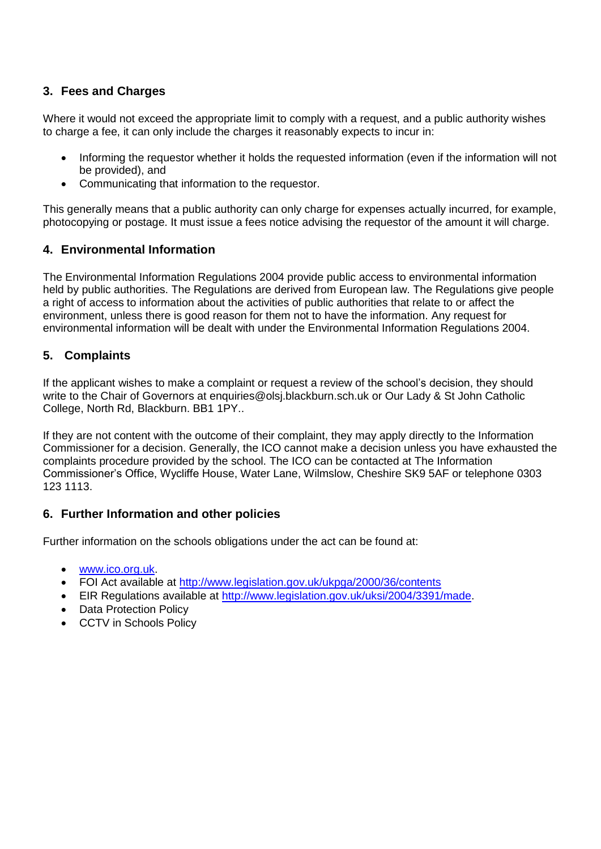# **3. Fees and Charges**

Where it would not exceed the appropriate limit to comply with a request, and a public authority wishes to charge a fee, it can only include the charges it reasonably expects to incur in:

- Informing the requestor whether it holds the requested information (even if the information will not be provided), and
- Communicating that information to the requestor.

This generally means that a public authority can only charge for expenses actually incurred, for example, photocopying or postage. It must issue a fees notice advising the requestor of the amount it will charge.

## **4. Environmental Information**

The Environmental Information Regulations 2004 provide public access to environmental information held by public authorities. The Regulations are derived from European law. The Regulations give people a right of access to information about the activities of public authorities that relate to or affect the environment, unless there is good reason for them not to have the information. Any request for environmental information will be dealt with under the Environmental Information Regulations 2004.

## **5. Complaints**

If the applicant wishes to make a complaint or request a review of the school's decision, they should write to the Chair of Governors at enquiries@olsj.blackburn.sch.uk or Our Lady & St John Catholic College, North Rd, Blackburn. BB1 1PY..

If they are not content with the outcome of their complaint, they may apply directly to the Information Commissioner for a decision. Generally, the ICO cannot make a decision unless you have exhausted the complaints procedure provided by the school. The ICO can be contacted at The Information Commissioner's Office, Wycliffe House, Water Lane, Wilmslow, Cheshire SK9 5AF or telephone 0303 123 1113.

## **6. Further Information and other policies**

Further information on the schools obligations under the act can be found at:

- [www.ico.org.uk.](http://www.ico.org.uk/)
- FOI Act available at<http://www.legislation.gov.uk/ukpga/2000/36/contents>
- EIR Regulations available at [http://www.legislation.gov.uk/uksi/2004/3391/made.](http://www.legislation.gov.uk/uksi/2004/3391/made)
- Data Protection Policy
- CCTV in Schools Policy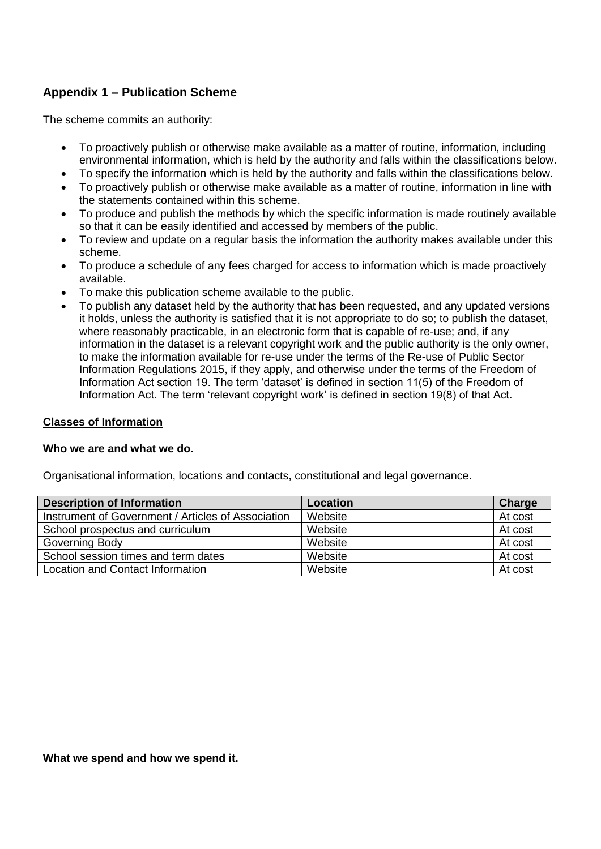# **Appendix 1 – Publication Scheme**

The scheme commits an authority:

- To proactively publish or otherwise make available as a matter of routine, information, including environmental information, which is held by the authority and falls within the classifications below.
- To specify the information which is held by the authority and falls within the classifications below.
- To proactively publish or otherwise make available as a matter of routine, information in line with the statements contained within this scheme.
- To produce and publish the methods by which the specific information is made routinely available so that it can be easily identified and accessed by members of the public.
- To review and update on a regular basis the information the authority makes available under this scheme.
- To produce a schedule of any fees charged for access to information which is made proactively available.
- To make this publication scheme available to the public.
- To publish any dataset held by the authority that has been requested, and any updated versions it holds, unless the authority is satisfied that it is not appropriate to do so; to publish the dataset, where reasonably practicable, in an electronic form that is capable of re-use; and, if any information in the dataset is a relevant copyright work and the public authority is the only owner, to make the information available for re-use under the terms of the Re-use of Public Sector Information Regulations 2015, if they apply, and otherwise under the terms of the Freedom of Information Act section 19. The term 'dataset' is defined in section 11(5) of the Freedom of Information Act. The term 'relevant copyright work' is defined in section 19(8) of that Act.

#### **Classes of Information**

#### **Who we are and what we do.**

Organisational information, locations and contacts, constitutional and legal governance.

| <b>Description of Information</b>                  | Location | Charge  |
|----------------------------------------------------|----------|---------|
| Instrument of Government / Articles of Association | Website  | At cost |
| School prospectus and curriculum                   | Website  | At cost |
| Governing Body                                     | Website  | At cost |
| School session times and term dates                | Website  | At cost |
| Location and Contact Information                   | Website  | At cost |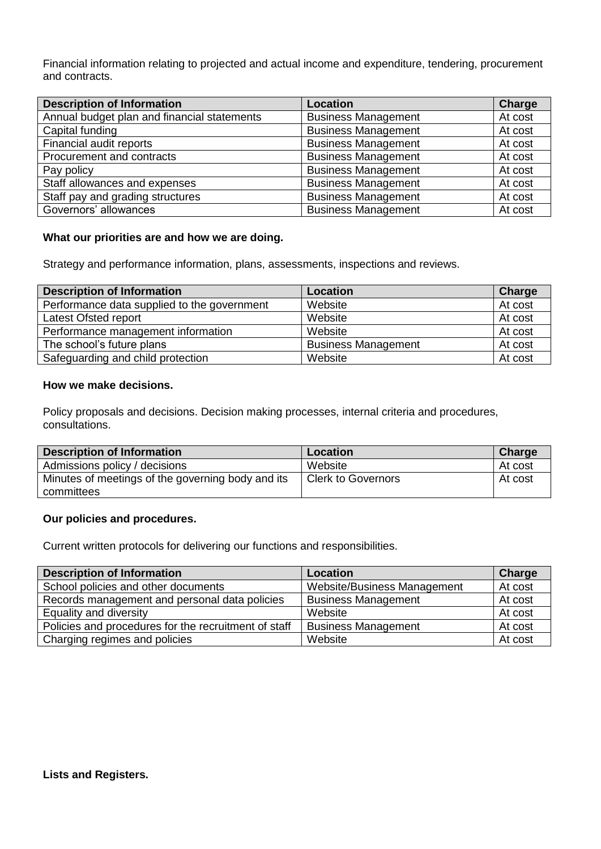Financial information relating to projected and actual income and expenditure, tendering, procurement and contracts.

| <b>Description of Information</b>           | Location                   | Charge  |
|---------------------------------------------|----------------------------|---------|
| Annual budget plan and financial statements | <b>Business Management</b> | At cost |
| Capital funding                             | <b>Business Management</b> | At cost |
| Financial audit reports                     | <b>Business Management</b> | At cost |
| Procurement and contracts                   | <b>Business Management</b> | At cost |
| Pay policy                                  | <b>Business Management</b> | At cost |
| Staff allowances and expenses               | <b>Business Management</b> | At cost |
| Staff pay and grading structures            | <b>Business Management</b> | At cost |
| Governors' allowances                       | <b>Business Management</b> | At cost |

#### **What our priorities are and how we are doing.**

Strategy and performance information, plans, assessments, inspections and reviews.

| <b>Description of Information</b>           | Location                   | Charge  |
|---------------------------------------------|----------------------------|---------|
| Performance data supplied to the government | Website                    | At cost |
| Latest Ofsted report                        | Website                    | At cost |
| Performance management information          | Website                    | At cost |
| The school's future plans                   | <b>Business Management</b> | At cost |
| Safeguarding and child protection           | Website                    | At cost |

#### **How we make decisions.**

Policy proposals and decisions. Decision making processes, internal criteria and procedures, consultations.

| <b>Description of Information</b>                 | Location                  | Charge  |
|---------------------------------------------------|---------------------------|---------|
| Admissions policy / decisions                     | Website                   | At cost |
| Minutes of meetings of the governing body and its | <b>Clerk to Governors</b> | At cost |
| committees                                        |                           |         |

#### **Our policies and procedures.**

Current written protocols for delivering our functions and responsibilities.

| <b>Description of Information</b>                    | Location                    | Charge  |
|------------------------------------------------------|-----------------------------|---------|
| School policies and other documents                  | Website/Business Management | At cost |
| Records management and personal data policies        | <b>Business Management</b>  | At cost |
| Equality and diversity                               | Website                     | At cost |
| Policies and procedures for the recruitment of staff | <b>Business Management</b>  | At cost |
| Charging regimes and policies                        | Website                     | At cost |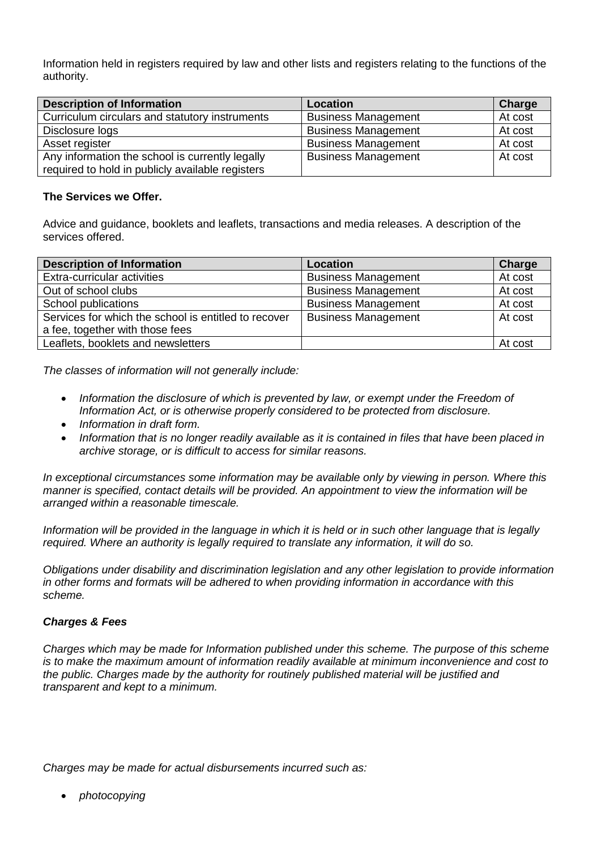Information held in registers required by law and other lists and registers relating to the functions of the authority.

| <b>Description of Information</b>                                                                   | Location                   | Charge  |
|-----------------------------------------------------------------------------------------------------|----------------------------|---------|
| Curriculum circulars and statutory instruments                                                      | <b>Business Management</b> | At cost |
| Disclosure logs                                                                                     | <b>Business Management</b> | At cost |
| Asset register                                                                                      | <b>Business Management</b> | At cost |
| Any information the school is currently legally<br>required to hold in publicly available registers | <b>Business Management</b> | At cost |

#### **The Services we Offer.**

Advice and guidance, booklets and leaflets, transactions and media releases. A description of the services offered.

| <b>Description of Information</b>                    | Location                   | Charge  |
|------------------------------------------------------|----------------------------|---------|
| Extra-curricular activities                          | <b>Business Management</b> | At cost |
| Out of school clubs                                  | <b>Business Management</b> | At cost |
| School publications                                  | <b>Business Management</b> | At cost |
| Services for which the school is entitled to recover | <b>Business Management</b> | At cost |
| a fee, together with those fees                      |                            |         |
| Leaflets, booklets and newsletters                   |                            | At cost |

*The classes of information will not generally include:*

- *Information the disclosure of which is prevented by law, or exempt under the Freedom of Information Act, or is otherwise properly considered to be protected from disclosure.*
- *Information in draft form.*
- *Information that is no longer readily available as it is contained in files that have been placed in archive storage, or is difficult to access for similar reasons.*

*In exceptional circumstances some information may be available only by viewing in person. Where this manner is specified, contact details will be provided. An appointment to view the information will be arranged within a reasonable timescale.*

*Information will be provided in the language in which it is held or in such other language that is legally required. Where an authority is legally required to translate any information, it will do so.*

*Obligations under disability and discrimination legislation and any other legislation to provide information in other forms and formats will be adhered to when providing information in accordance with this scheme.*

#### *Charges & Fees*

*Charges which may be made for Information published under this scheme. The purpose of this scheme is to make the maximum amount of information readily available at minimum inconvenience and cost to the public. Charges made by the authority for routinely published material will be justified and transparent and kept to a minimum.*

*Charges may be made for actual disbursements incurred such as:*

• *photocopying*